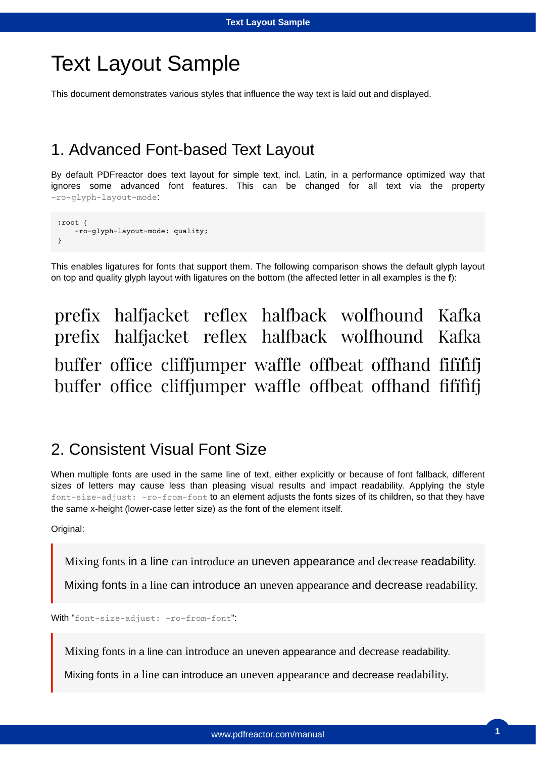## Text Layout Sample

This document demonstrates various styles that influence the way text is laid out and displayed.

## 1. Advanced Font-based Text Layout

By default PDFreactor does text layout for simple text, incl. Latin, in a performance optimized way that ignores some advanced font features. This can be changed for all text via the property -ro-glyph-layout-mode:

```
:root {
    -ro-glyph-layout-mode: quality;
}
```
This enables ligatures for fonts that support them. The following comparison shows the default glyph layout on top and quality glyph layout with ligatures on the bottom (the affected letter in all examples is the **f**):

prefix halfjacket reflex halfback wolfhound Kafka prefix halfjacket reflex halfback wolfhound Kafka buffer office cliffjumper waffle offbeat offhand fifïfìfj buffer office cliffjumper waffle offbeat offhand fifïfìfj

## 2. Consistent Visual Font Size

When multiple fonts are used in the same line of text, either explicitly or because of font fallback, different sizes of letters may cause less than pleasing visual results and impact readability. Applying the style font-size-adjust: -ro-from-font to an element adjusts the fonts sizes of its children, so that they have the same x-height (lower-case letter size) as the font of the element itself.

Original:

Mixing fonts in a line can introduce an uneven appearance and decrease readability.

Mixing fonts in a line can introduce an uneven appearance and decrease readability.

With "font-size-adjust: -ro-from-font":

Mixing fonts in a line can introduce an uneven appearance and decrease readability.

Mixing fonts in a line can introduce an uneven appearance and decrease readability.